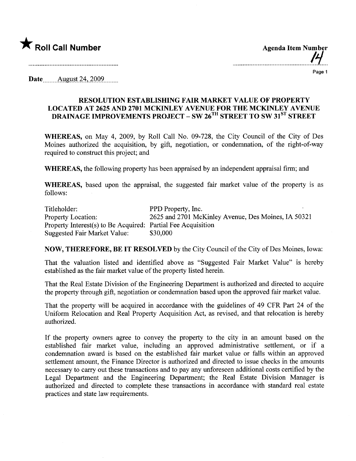

...............................................11...

## Page 1

Date \_\_\_\_\_\_ August 24, 2009

## RESOLUTION ESTABLISHING FAIR MARKT VALUE OF PROPERTY LOCATED AT 2625 AND 2701 MCKINLEY AVENUE FOR THE MCKINLEY AVENUE DRAINAGE IMPROVEMENTS PROJECT - SW 26<sup>TH</sup> STREET TO SW 31<sup>ST</sup> STREET

WHEREAS, on May 4, 2009, by Roll Call No. 09-728, the City Council of the City of Des Moines authorized the acquisition, by gift, negotiation, or condemnation, of the right-of-way required to construct this project; and

WHEREAS, the following property has been appraised by an independent appraisal firm; and

WHEREAS, based upon the appraisal, the suggested fair market value of the property is as follows:

Titleholder: Property Location: Property Interest(s) to Be Acquired: Partial Fee Acquisition Suggested Fair Market Value: PPD Property, Inc. 2625 and 2701 McKinley Avenue, Des Moines, IA 50321 \$30,000

NOW, THEREFORE, BE IT RESOLVED by the City Council of the City of Des Moines, Iowa:

That the valuation listed and identified above as "Suggested Fair Market Value" is hereby established as the fair market value of the property listed herein.

That the Real Estate Division of the Engineering Deparment is authorized and directed to acquire the property through gift, negotiation or condemnation based upon the approved fair market value.

That the property will be acquired in accordance with the guidelines of 49 CFR Part 24 of the Uniform Relocation and Real Property Acquisition Act, as revised, and that relocation is hereby authorized.

If the property owners agree to convey the property to the city in an amount based on the established fair market value, including an approved administrative settlement, or if a condemnation award is based on the established fair market value or falls within an approved settlement amount, the Finance Director is authorized and directed to issue checks in the amounts necessary to carry out these transactions and to pay any unforeseen additional costs certified by the Legal Department and the Engineering Department; the Real Estate Division Manager is authorized and directed to complete these transactions in accordance with standard real estate practices and state law requirements.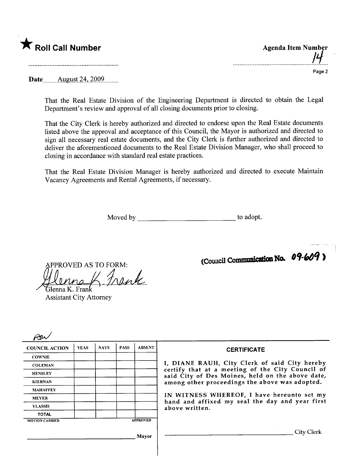

| <b>Agenda Item Number</b> |                    |
|---------------------------|--------------------|
|                           | $\boldsymbol{\mu}$ |
|                           |                    |

. . . . . .

Page 2

Date \_\_\_\_\_\_ August 24, 2009 \_\_\_ \_\_

That the Real Estate Division of the Engineering Department is directed to obtain the Legal Department's review and approval of all closing documents prior to closing.

That the City Clerk is hereby authorized and directed to endorse upon the Real Estate documents listed above the approval and acceptance of this Council, the Mayor is authorized and directed to sign all necessary real estate documents, and the City Clerk is further authorized and directed to deliver the aforementioned documents to the Real Estate Division Manager, who shall proceed to closing in accordance with standard real estate practices.

That the Real Estate Division Manager is hereby authorized and directed to execute Maintain Vacancy Agreements and Rental Agreements, if necessary.

Moved by to adopt.

llenna R. Frank APPROVED AS TO FORM:

Assistant City Attorney

(Council Communication No. 09.609)

| <b>COUNCIL ACTION</b> | <b>YEAS</b> | <b>NAYS</b> | <b>PASS</b> | <b>ABSENT</b>   | <b>CERTIFICATE</b>                                                                                   |
|-----------------------|-------------|-------------|-------------|-----------------|------------------------------------------------------------------------------------------------------|
| <b>COWNIE</b>         |             |             |             |                 |                                                                                                      |
| <b>COLEMAN</b>        |             |             |             |                 | I, DIANE RAUH, City Clerk of said City hereby                                                        |
| <b>HENSLEY</b>        |             |             |             |                 | certify that at a meeting of the City Council of<br>said City of Des Moines, held on the above date, |
| <b>KIERNAN</b>        |             |             |             |                 | among other proceedings the above was adopted.                                                       |
| <b>MAHAFFEY</b>       |             |             |             |                 |                                                                                                      |
| <b>MEYER</b>          |             |             |             |                 | IN WITNESS WHEREOF, I have hereunto set my<br>hand and affixed my seal the day and year first        |
| <b>VLASSIS</b>        |             |             |             |                 | above written.                                                                                       |
| <b>TOTAL</b>          |             |             |             |                 |                                                                                                      |
| <b>MOTION CARRIED</b> |             |             |             | <b>APPROVED</b> |                                                                                                      |
|                       |             |             |             | Mayor           | City Clerk                                                                                           |